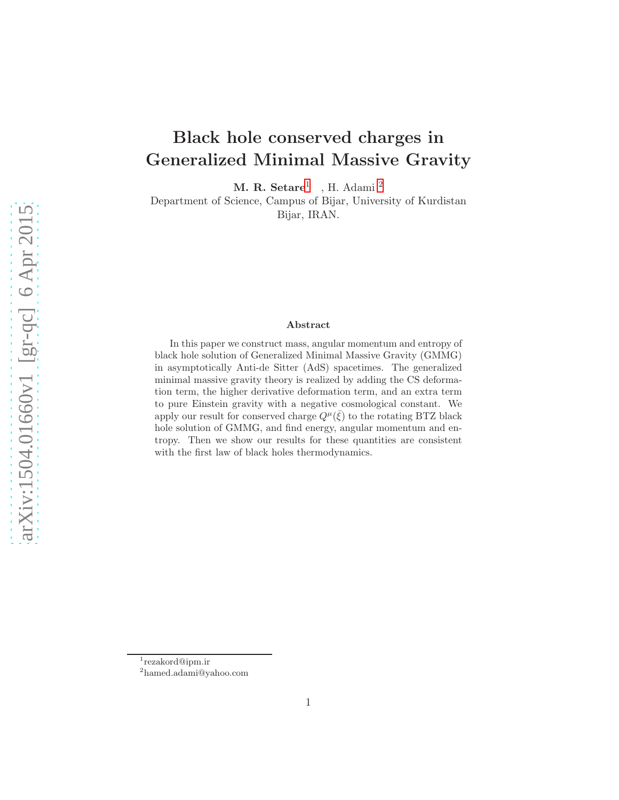# Black hole conserved charges in Generalized Minimal Massive Gravity

 $M. R. Setare<sup>1</sup>$  $M. R. Setare<sup>1</sup>$  $M. R. Setare<sup>1</sup>$ , H. Adami<sup>[2](#page-0-1)</sup>

Department of Science, Campus of Bijar, University of Kurdistan Bijar, IRAN.

#### Abstract

In this paper we construct mass, angular momentum and entropy of black hole solution of Generalized Minimal Massive Gravity (GMMG) in asymptotically Anti-de Sitter (AdS) spacetimes. The generalized minimal massive gravity theory is realized by adding the CS deformation term, the higher derivative deformation term, and an extra term to pure Einstein gravity with a negative cosmological constant. We apply our result for conserved charge  $Q^{\mu}(\bar{\xi})$  to the rotating BTZ black hole solution of GMMG, and find energy, angular momentum and entropy. Then we show our results for these quantities are consistent with the first law of black holes thermodynamics.

<sup>1</sup> rezakord@ipm.ir

<span id="page-0-1"></span><span id="page-0-0"></span><sup>2</sup> hamed.adami@yahoo.com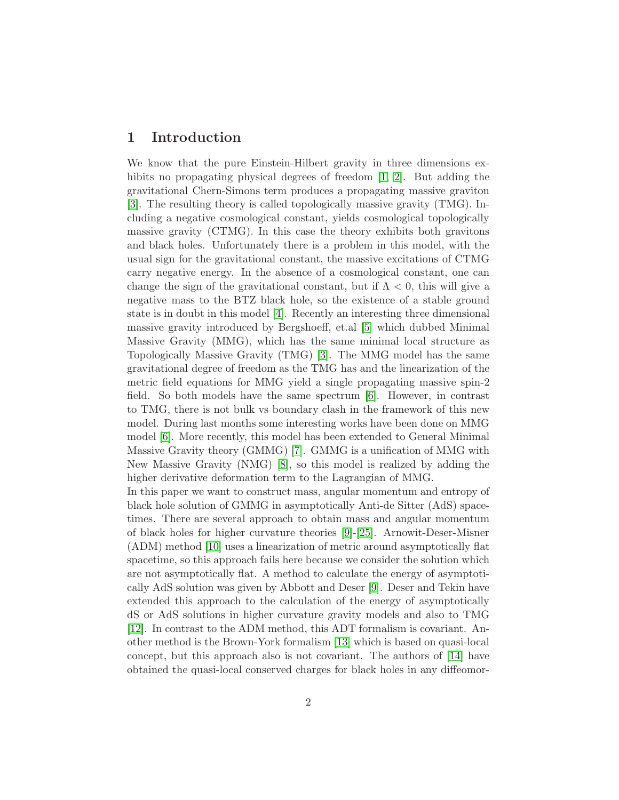# 1 Introduction

We know that the pure Einstein-Hilbert gravity in three dimensions ex-hibits no propagating physical degrees of freedom [\[1,](#page-8-0) [2\]](#page-8-1). But adding the gravitational Chern-Simons term produces a propagating massive graviton [\[3\]](#page-8-2). The resulting theory is called topologically massive gravity (TMG). Including a negative cosmological constant, yields cosmological topologically massive gravity (CTMG). In this case the theory exhibits both gravitons and black holes. Unfortunately there is a problem in this model, with the usual sign for the gravitational constant, the massive excitations of CTMG carry negative energy. In the absence of a cosmological constant, one can change the sign of the gravitational constant, but if  $\Lambda < 0$ , this will give a negative mass to the BTZ black hole, so the existence of a stable ground state is in doubt in this model [\[4\]](#page-9-0). Recently an interesting three dimensional massive gravity introduced by Bergshoeff, et.al [\[5\]](#page-9-1) which dubbed Minimal Massive Gravity (MMG), which has the same minimal local structure as Topologically Massive Gravity (TMG) [\[3\]](#page-8-2). The MMG model has the same gravitational degree of freedom as the TMG has and the linearization of the metric field equations for MMG yield a single propagating massive spin-2 field. So both models have the same spectrum [\[6\]](#page-9-2). However, in contrast to TMG, there is not bulk vs boundary clash in the framework of this new model. During last months some interesting works have been done on MMG model [\[6\]](#page-9-2). More recently, this model has been extended to General Minimal Massive Gravity theory (GMMG) [\[7\]](#page-9-3). GMMG is a unification of MMG with New Massive Gravity (NMG) [\[8\]](#page-9-4), so this model is realized by adding the higher derivative deformation term to the Lagrangian of MMG.

In this paper we want to construct mass, angular momentum and entropy of black hole solution of GMMG in asymptotically Anti-de Sitter (AdS) spacetimes. There are several approach to obtain mass and angular momentum of black holes for higher curvature theories [\[9\]](#page-9-5)-[\[25\]](#page-10-0). Arnowit-Deser-Misner (ADM) method [\[10\]](#page-9-6) uses a linearization of metric around asymptotically flat spacetime, so this approach fails here because we consider the solution which are not asymptotically flat. A method to calculate the energy of asymptotically AdS solution was given by Abbott and Deser [\[9\]](#page-9-5). Deser and Tekin have extended this approach to the calculation of the energy of asymptotically dS or AdS solutions in higher curvature gravity models and also to TMG [\[12\]](#page-9-7). In contrast to the ADM method, this ADT formalism is covariant. Another method is the Brown-York formalism [\[13\]](#page-9-8) which is based on quasi-local concept, but this approach also is not covariant. The authors of [\[14\]](#page-9-9) have obtained the quasi-local conserved charges for black holes in any diffeomor-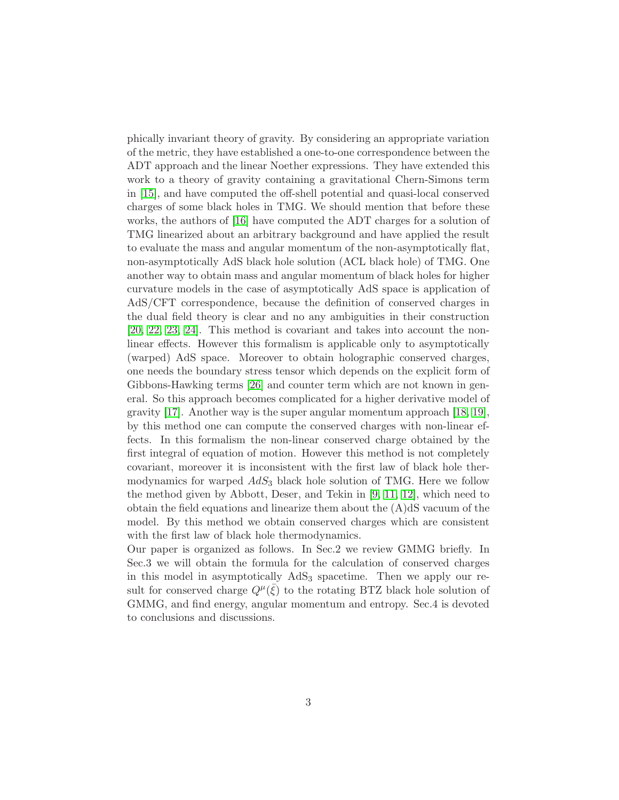phically invariant theory of gravity. By considering an appropriate variation of the metric, they have established a one-to-one correspondence between the ADT approach and the linear Noether expressions. They have extended this work to a theory of gravity containing a gravitational Chern-Simons term in [\[15\]](#page-9-10), and have computed the off-shell potential and quasi-local conserved charges of some black holes in TMG. We should mention that before these works, the authors of [\[16\]](#page-9-11) have computed the ADT charges for a solution of TMG linearized about an arbitrary background and have applied the result to evaluate the mass and angular momentum of the non-asymptotically flat, non-asymptotically AdS black hole solution (ACL black hole) of TMG. One another way to obtain mass and angular momentum of black holes for higher curvature models in the case of asymptotically AdS space is application of AdS/CFT correspondence, because the definition of conserved charges in the dual field theory is clear and no any ambiguities in their construction [\[20,](#page-9-12) [22,](#page-10-1) [23,](#page-10-2) [24\]](#page-10-3). This method is covariant and takes into account the nonlinear effects. However this formalism is applicable only to asymptotically (warped) AdS space. Moreover to obtain holographic conserved charges, one needs the boundary stress tensor which depends on the explicit form of Gibbons-Hawking terms [\[26\]](#page-10-4) and counter term which are not known in general. So this approach becomes complicated for a higher derivative model of gravity [\[17\]](#page-9-13). Another way is the super angular momentum approach  $[18, 19]$  $[18, 19]$ , by this method one can compute the conserved charges with non-linear effects. In this formalism the non-linear conserved charge obtained by the first integral of equation of motion. However this method is not completely covariant, moreover it is inconsistent with the first law of black hole thermodynamics for warped  $AdS_3$  black hole solution of TMG. Here we follow the method given by Abbott, Deser, and Tekin in [\[9,](#page-9-5) [11,](#page-9-16) [12\]](#page-9-7), which need to obtain the field equations and linearize them about the  $(A)dS$  vacuum of the model. By this method we obtain conserved charges which are consistent with the first law of black hole thermodynamics.

Our paper is organized as follows. In Sec.2 we review GMMG briefly. In Sec.3 we will obtain the formula for the calculation of conserved charges in this model in asymptotically  $AdS_3$  spacetime. Then we apply our result for conserved charge  $Q^{\mu}(\bar{\xi})$  to the rotating BTZ black hole solution of GMMG, and find energy, angular momentum and entropy. Sec.4 is devoted to conclusions and discussions.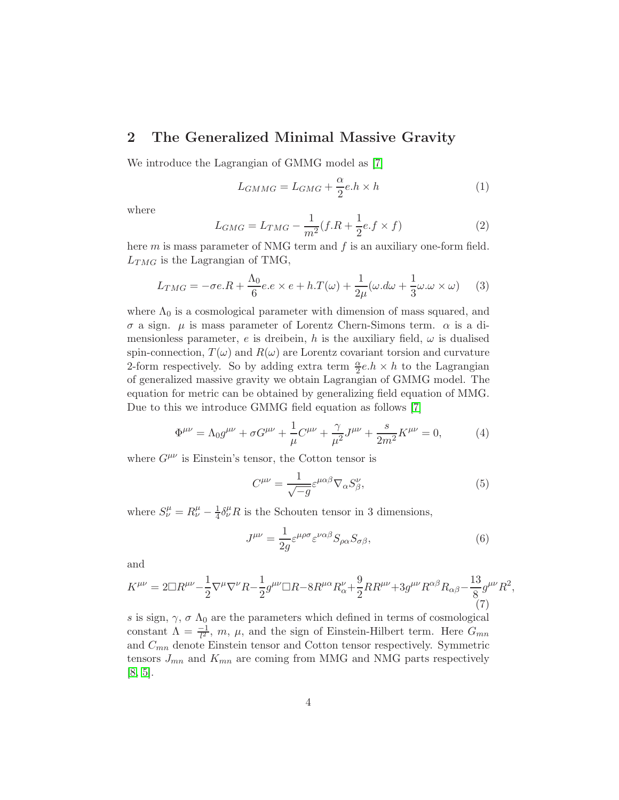# 2 The Generalized Minimal Massive Gravity

We introduce the Lagrangian of GMMG model as [\[7\]](#page-9-3)

$$
L_{GMMG} = L_{GMG} + \frac{\alpha}{2}e.h \times h \tag{1}
$$

where

$$
L_{GMG} = L_{TMG} - \frac{1}{m^2} (f.R + \frac{1}{2}e.f \times f)
$$
 (2)

here  $m$  is mass parameter of NMG term and  $f$  is an auxiliary one-form field.  $L_{TMG}$  is the Lagrangian of TMG,

$$
L_{TMG} = -\sigma e.R + \frac{\Lambda_0}{6}e.e \times e + h.T(\omega) + \frac{1}{2\mu}(\omega.d\omega + \frac{1}{3}\omega.\omega \times \omega)
$$
 (3)

where  $\Lambda_0$  is a cosmological parameter with dimension of mass squared, and σ a sign. µ is mass parameter of Lorentz Chern-Simons term. α is a dimensionless parameter, e is dreibein, h is the auxiliary field,  $\omega$  is dualised spin-connection,  $T(\omega)$  and  $R(\omega)$  are Lorentz covariant torsion and curvature 2-form respectively. So by adding extra term  $\frac{\alpha}{2}e.h \times h$  to the Lagrangian of generalized massive gravity we obtain Lagrangian of GMMG model. The equation for metric can be obtained by generalizing field equation of MMG. Due to this we introduce GMMG field equation as follows [\[7\]](#page-9-3)

<span id="page-3-0"></span>
$$
\Phi^{\mu\nu} = \Lambda_0 g^{\mu\nu} + \sigma G^{\mu\nu} + \frac{1}{\mu} C^{\mu\nu} + \frac{\gamma}{\mu^2} J^{\mu\nu} + \frac{s}{2m^2} K^{\mu\nu} = 0, \tag{4}
$$

where  $G^{\mu\nu}$  is Einstein's tensor, the Cotton tensor is

$$
C^{\mu\nu} = \frac{1}{\sqrt{-g}} \varepsilon^{\mu\alpha\beta} \nabla_{\alpha} S^{\nu}_{\beta},\tag{5}
$$

where  $S^{\mu}_{\nu} = R^{\mu}_{\nu} - \frac{1}{4}$  $\frac{1}{4}\delta^{\mu}_{\nu}R$  is the Schouten tensor in 3 dimensions,

$$
J^{\mu\nu} = \frac{1}{2g} \varepsilon^{\mu\rho\sigma} \varepsilon^{\nu\alpha\beta} S_{\rho\alpha} S_{\sigma\beta},\tag{6}
$$

and

$$
K^{\mu\nu} = 2\Box R^{\mu\nu} - \frac{1}{2}\nabla^{\mu}\nabla^{\nu}R - \frac{1}{2}g^{\mu\nu}\Box R - 8R^{\mu\alpha}R^{\nu}_{\alpha} + \frac{9}{2}RR^{\mu\nu} + 3g^{\mu\nu}R^{\alpha\beta}R_{\alpha\beta} - \frac{13}{8}g^{\mu\nu}R^2,
$$
\n(7)

 $s$  is sign,  $\gamma,\,\sigma$   $\Lambda_0$  are the parameters which defined in terms of cosmological constant  $\Lambda = \frac{-1}{l^2}$ , m,  $\mu$ , and the sign of Einstein-Hilbert term. Here  $G_{mn}$ and  $C_{mn}$  denote Einstein tensor and Cotton tensor respectively. Symmetric tensors  $J_{mn}$  and  $K_{mn}$  are coming from MMG and NMG parts respectively [\[8,](#page-9-4) [5\]](#page-9-1).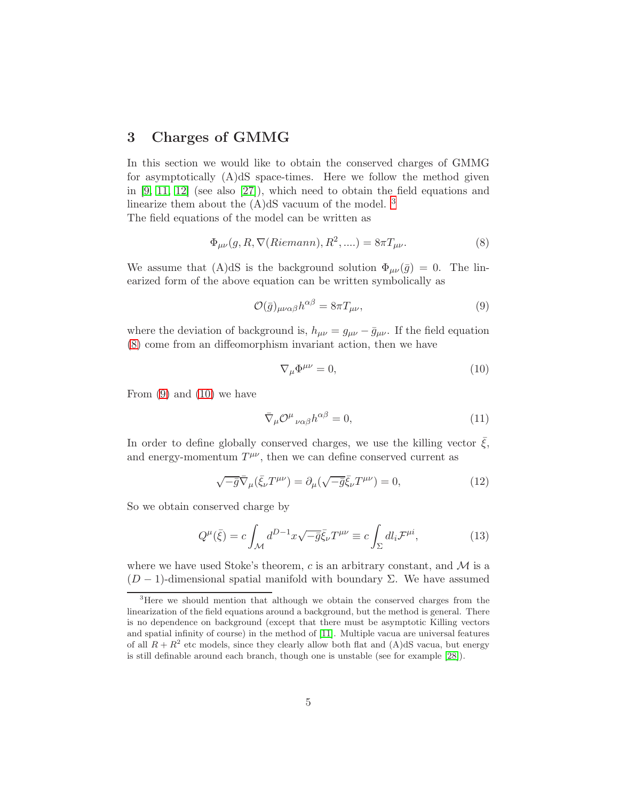### 3 Charges of GMMG

In this section we would like to obtain the conserved charges of GMMG for asymptotically (A)dS space-times. Here we follow the method given in [\[9,](#page-9-5) [11,](#page-9-16) [12\]](#page-9-7) (see also [\[27\]](#page-10-5)), which need to obtain the field equations and linearize them about the  $(A)dS$  vacuum of the model. <sup>[3](#page-4-0)</sup>

The field equations of the model can be written as

<span id="page-4-1"></span>
$$
\Phi_{\mu\nu}(g, R, \nabla(Riemann), R^2, \ldots) = 8\pi T_{\mu\nu}.
$$
\n(8)

We assume that (A)dS is the background solution  $\Phi_{\mu\nu}(\bar{g}) = 0$ . The linearized form of the above equation can be written symbolically as

<span id="page-4-2"></span>
$$
\mathcal{O}(\bar{g})_{\mu\nu\alpha\beta}h^{\alpha\beta} = 8\pi T_{\mu\nu},\tag{9}
$$

where the deviation of background is,  $h_{\mu\nu} = g_{\mu\nu} - \bar{g}_{\mu\nu}$ . If the field equation [\(8\)](#page-4-1) come from an diffeomorphism invariant action, then we have

<span id="page-4-3"></span>
$$
\nabla_{\mu}\Phi^{\mu\nu} = 0,\tag{10}
$$

From  $(9)$  and  $(10)$  we have

$$
\bar{\nabla}_{\mu} \mathcal{O}^{\mu}{}_{\nu\alpha\beta} h^{\alpha\beta} = 0, \tag{11}
$$

In order to define globally conserved charges, we use the killing vector  $\bar{\xi}$ , and energy-momentum  $T^{\mu\nu}$ , then we can define conserved current as

$$
\sqrt{-\bar{g}}\bar{\nabla}_{\mu}(\bar{\xi}_{\nu}T^{\mu\nu}) = \partial_{\mu}(\sqrt{-\bar{g}}\bar{\xi}_{\nu}T^{\mu\nu}) = 0, \qquad (12)
$$

So we obtain conserved charge by

<span id="page-4-4"></span>
$$
Q^{\mu}(\bar{\xi}) = c \int_{\mathcal{M}} d^{D-1}x \sqrt{-\bar{g}} \bar{\xi}_{\nu} T^{\mu\nu} \equiv c \int_{\Sigma} dl_{i} \mathcal{F}^{\mu i}, \qquad (13)
$$

where we have used Stoke's theorem,  $c$  is an arbitrary constant, and  $\mathcal M$  is a  $(D-1)$ -dimensional spatial manifold with boundary Σ. We have assumed

<span id="page-4-0"></span><sup>3</sup>Here we should mention that although we obtain the conserved charges from the linearization of the field equations around a background, but the method is general. There is no dependence on background (except that there must be asymptotic Killing vectors and spatial infinity of course) in the method of [\[11\]](#page-9-16). Multiple vacua are universal features of all  $R + R^2$  etc models, since they clearly allow both flat and (A)dS vacua, but energy is still definable around each branch, though one is unstable (see for example [\[28\]](#page-10-6)).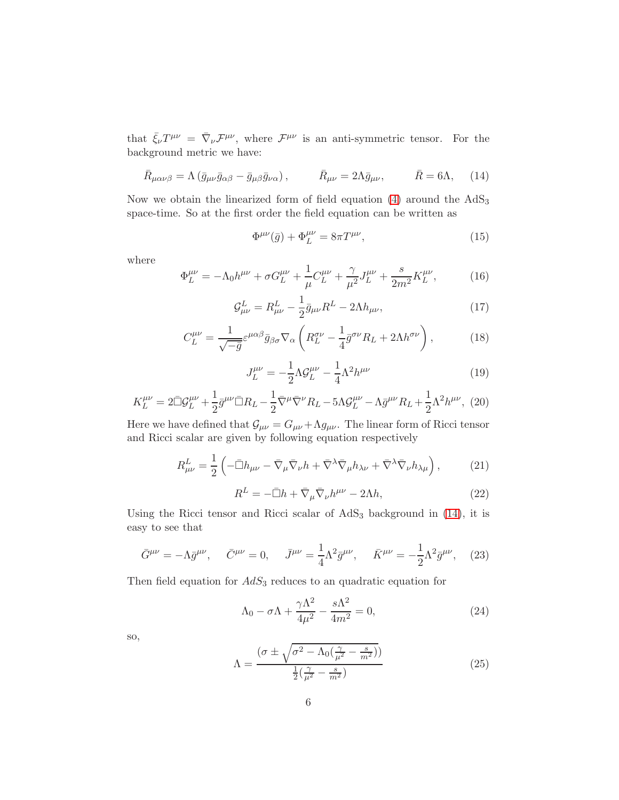that  $\bar{\xi}_{\nu}T^{\mu\nu} = \bar{\nabla}_{\nu}\mathcal{F}^{\mu\nu}$ , where  $\mathcal{F}^{\mu\nu}$  is an anti-symmetric tensor. For the background metric we have:

<span id="page-5-0"></span>
$$
\bar{R}_{\mu\alpha\nu\beta} = \Lambda \left( \bar{g}_{\mu\nu} \bar{g}_{\alpha\beta} - \bar{g}_{\mu\beta} \bar{g}_{\nu\alpha} \right), \qquad \bar{R}_{\mu\nu} = 2\Lambda \bar{g}_{\mu\nu}, \qquad \bar{R} = 6\Lambda, \quad (14)
$$

Now we obtain the linearized form of field equation  $(4)$  around the  $AdS_3$ space-time. So at the first order the field equation can be written as

<span id="page-5-1"></span>
$$
\Phi^{\mu\nu}(\bar{g}) + \Phi_L^{\mu\nu} = 8\pi T^{\mu\nu},\tag{15}
$$

where

$$
\Phi_L^{\mu\nu} = -\Lambda_0 h^{\mu\nu} + \sigma G_L^{\mu\nu} + \frac{1}{\mu} C_L^{\mu\nu} + \frac{\gamma}{\mu^2} J_L^{\mu\nu} + \frac{s}{2m^2} K_L^{\mu\nu},\tag{16}
$$

<span id="page-5-2"></span>
$$
\mathcal{G}^L_{\mu\nu} = R^L_{\mu\nu} - \frac{1}{2}\bar{g}_{\mu\nu}R^L - 2\Lambda h_{\mu\nu},\qquad(17)
$$

$$
C_L^{\mu\nu} = \frac{1}{\sqrt{-\bar{g}}} \varepsilon^{\mu\alpha\beta} \bar{g}_{\beta\sigma} \nabla_\alpha \left( R_L^{\sigma\nu} - \frac{1}{4} \bar{g}^{\sigma\nu} R_L + 2\Lambda h^{\sigma\nu} \right), \tag{18}
$$

$$
J_L^{\mu\nu} = -\frac{1}{2}\Lambda \mathcal{G}_L^{\mu\nu} - \frac{1}{4}\Lambda^2 h^{\mu\nu} \tag{19}
$$

<span id="page-5-3"></span>
$$
K_L^{\mu\nu} = 2\bar{\Box}\mathcal{G}_L^{\mu\nu} + \frac{1}{2}\bar{g}^{\mu\nu}\bar{\Box}R_L - \frac{1}{2}\bar{\nabla}^{\mu}\bar{\nabla}^{\nu}R_L - 5\Lambda\mathcal{G}_L^{\mu\nu} - \Lambda\bar{g}^{\mu\nu}R_L + \frac{1}{2}\Lambda^2h^{\mu\nu}, \tag{20}
$$

Here we have defined that  $\mathcal{G}_{\mu\nu} = G_{\mu\nu} + \Lambda g_{\mu\nu}$ . The linear form of Ricci tensor and Ricci scalar are given by following equation respectively

$$
R^{L}_{\mu\nu} = \frac{1}{2} \left( -\bar{\Box} h_{\mu\nu} - \bar{\nabla}_{\mu} \bar{\nabla}_{\nu} h + \bar{\nabla}^{\lambda} \bar{\nabla}_{\mu} h_{\lambda\nu} + \bar{\nabla}^{\lambda} \bar{\nabla}_{\nu} h_{\lambda\mu} \right), \tag{21}
$$

$$
R^{L} = -\bar{\Box}h + \bar{\nabla}_{\mu}\bar{\nabla}_{\nu}h^{\mu\nu} - 2\Lambda h, \qquad (22)
$$

Using the Ricci tensor and Ricci scalar of  $AdS<sub>3</sub>$  background in [\(14\)](#page-5-0), it is easy to see that

$$
\bar{G}^{\mu\nu} = -\Lambda \bar{g}^{\mu\nu}, \quad \bar{C}^{\mu\nu} = 0, \quad \bar{J}^{\mu\nu} = \frac{1}{4} \Lambda^2 \bar{g}^{\mu\nu}, \quad \bar{K}^{\mu\nu} = -\frac{1}{2} \Lambda^2 \bar{g}^{\mu\nu}, \quad (23)
$$

Then field equation for  $AdS_3$  reduces to an quadratic equation for

<span id="page-5-4"></span>
$$
\Lambda_0 - \sigma \Lambda + \frac{\gamma \Lambda^2}{4\mu^2} - \frac{s\Lambda^2}{4m^2} = 0,\tag{24}
$$

so,

$$
\Lambda = \frac{\left(\sigma \pm \sqrt{\sigma^2 - \Lambda_0(\frac{\gamma}{\mu^2} - \frac{s}{m^2})}\right)}{\frac{1}{2}(\frac{\gamma}{\mu^2} - \frac{s}{m^2})}
$$
(25)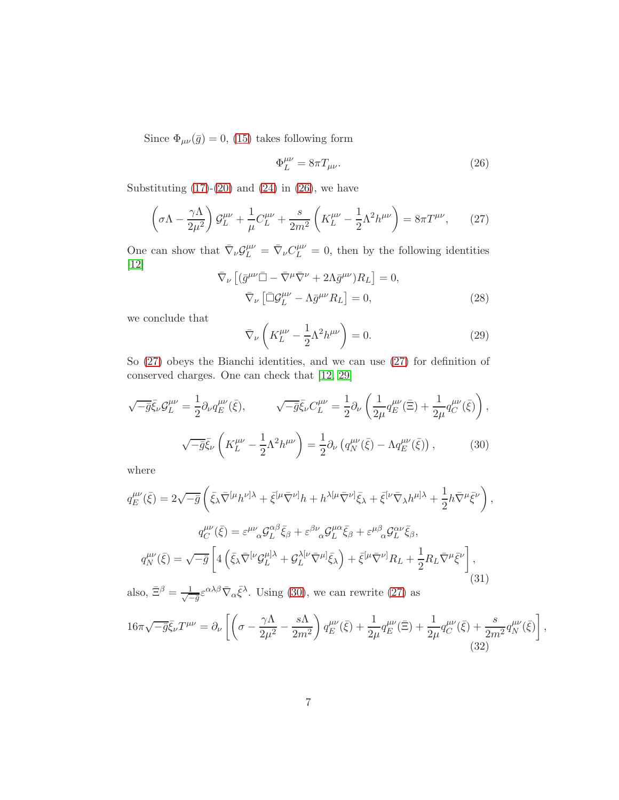Since  $\Phi_{\mu\nu}(\bar{g}) = 0$ , [\(15\)](#page-5-1) takes following form

<span id="page-6-0"></span>
$$
\Phi_L^{\mu\nu} = 8\pi T_{\mu\nu}.\tag{26}
$$

Substituting  $(17)-(20)$  $(17)-(20)$  and  $(24)$  in  $(26)$ , we have

<span id="page-6-1"></span>
$$
\left(\sigma\Lambda - \frac{\gamma\Lambda}{2\mu^2}\right)\mathcal{G}_L^{\mu\nu} + \frac{1}{\mu}C_L^{\mu\nu} + \frac{s}{2m^2}\left(K_L^{\mu\nu} - \frac{1}{2}\Lambda^2 h^{\mu\nu}\right) = 8\pi T^{\mu\nu},\qquad(27)
$$

One can show that  $\bar{\nabla}_{\nu} \mathcal{G}_{L}^{\mu\nu} = \bar{\nabla}_{\nu} C_{L}^{\mu\nu} = 0$ , then by the following identities [\[12\]](#page-9-7)

$$
\bar{\nabla}_{\nu} \left[ (\bar{g}^{\mu\nu} \bar{\Box} - \bar{\nabla}^{\mu} \bar{\nabla}^{\nu} + 2\Lambda \bar{g}^{\mu\nu}) R_L \right] = 0, \n\bar{\nabla}_{\nu} \left[ \bar{\Box} \mathcal{G}^{\mu\nu}_L - \Lambda \bar{g}^{\mu\nu} R_L \right] = 0,
$$
\n(28)

we conclude that

$$
\bar{\nabla}_{\nu}\left(K_L^{\mu\nu} - \frac{1}{2}\Lambda^2 h^{\mu\nu}\right) = 0.
$$
\n(29)

So [\(27\)](#page-6-1) obeys the Bianchi identities, and we can use [\(27\)](#page-6-1) for definition of conserved charges. One can check that [\[12,](#page-9-7) [29\]](#page-10-7)

$$
\sqrt{-\bar{g}}\bar{\xi}_{\nu}\mathcal{G}_{L}^{\mu\nu} = \frac{1}{2}\partial_{\nu}q_{E}^{\mu\nu}(\bar{\xi}), \qquad \sqrt{-\bar{g}}\bar{\xi}_{\nu}C_{L}^{\mu\nu} = \frac{1}{2}\partial_{\nu}\left(\frac{1}{2\mu}q_{E}^{\mu\nu}(\bar{\Xi}) + \frac{1}{2\mu}q_{C}^{\mu\nu}(\bar{\xi})\right),
$$

$$
\sqrt{-\bar{g}}\bar{\xi}_{\nu}\left(K_{L}^{\mu\nu} - \frac{1}{2}\Lambda^{2}h^{\mu\nu}\right) = \frac{1}{2}\partial_{\nu}\left(q_{N}^{\mu\nu}(\bar{\xi}) - \Lambda q_{E}^{\mu\nu}(\bar{\xi})\right), \qquad (30)
$$

<span id="page-6-2"></span>where

$$
q_E^{\mu\nu}(\bar{\xi}) = 2\sqrt{-\bar{g}} \left( \bar{\xi}_{\lambda} \bar{\nabla}^{[\mu} h^{\nu]\lambda} + \bar{\xi}^{[\mu} \bar{\nabla}^{\nu]} h + h^{\lambda[\mu} \bar{\nabla}^{\nu]} \bar{\xi}_{\lambda} + \bar{\xi}^{[\nu} \bar{\nabla}_{\lambda} h^{\mu]\lambda} + \frac{1}{2} h \bar{\nabla}^{\mu} \bar{\xi}^{\nu} \right),
$$
  

$$
q_C^{\mu\nu}(\bar{\xi}) = \varepsilon^{\mu\nu}{}_{\alpha} \mathcal{G}_{L}^{\alpha\beta} \bar{\xi}_{\beta} + \varepsilon^{\beta\nu}{}_{\alpha} \mathcal{G}_{L}^{\mu\alpha} \bar{\xi}_{\beta} + \varepsilon^{\mu\beta}{}_{\alpha} \mathcal{G}_{L}^{\alpha\nu} \bar{\xi}_{\beta},
$$
  

$$
q_N^{\mu\nu}(\bar{\xi}) = \sqrt{-\bar{g}} \left[ 4 \left( \bar{\xi}_{\lambda} \bar{\nabla}^{[\nu} \mathcal{G}_{L}^{\mu]\lambda} + \mathcal{G}_{L}^{\lambda[\nu} \bar{\nabla}^{\mu]} \bar{\xi}_{\lambda} \right) + \bar{\xi}^{[\mu} \bar{\nabla}^{\nu]} R_L + \frac{1}{2} R_L \bar{\nabla}^{\mu} \bar{\xi}^{\nu} \right],
$$
(31)

also,  $\bar{\Xi}^{\beta} = \frac{1}{\sqrt{2}}$  $\frac{1}{-\bar{g}}\varepsilon^{\alpha\lambda\beta}\bar{\nabla}_{\alpha}\bar{\xi}^{\lambda}$ . Using [\(30\)](#page-6-2), we can rewrite [\(27\)](#page-6-1) as

$$
16\pi\sqrt{-\bar{g}}\bar{\xi}_{\nu}T^{\mu\nu} = \partial_{\nu}\left[\left(\sigma - \frac{\gamma\Lambda}{2\mu^{2}} - \frac{s\Lambda}{2m^{2}}\right)q_{E}^{\mu\nu}(\bar{\xi}) + \frac{1}{2\mu}q_{E}^{\mu\nu}(\bar{\Xi}) + \frac{1}{2\mu}q_{C}^{\mu\nu}(\bar{\xi}) + \frac{s}{2m^{2}}q_{N}^{\mu\nu}(\bar{\xi})\right],
$$
\n(32)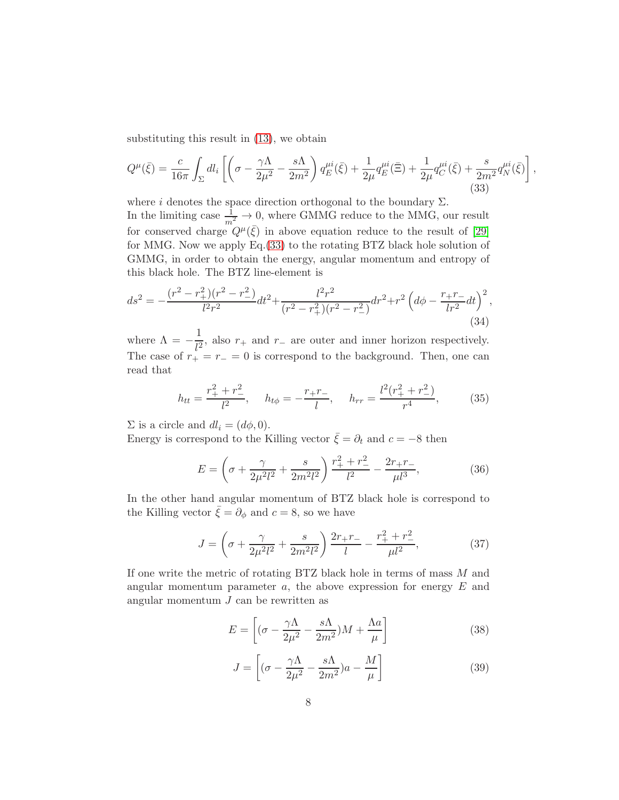substituting this result in [\(13\)](#page-4-4), we obtain

<span id="page-7-0"></span>
$$
Q^{\mu}(\bar{\xi}) = \frac{c}{16\pi} \int_{\Sigma} dl_i \left[ \left( \sigma - \frac{\gamma \Lambda}{2\mu^2} - \frac{s\Lambda}{2m^2} \right) q_E^{\mu i}(\bar{\xi}) + \frac{1}{2\mu} q_E^{\mu i}(\bar{\Xi}) + \frac{1}{2\mu} q_C^{\mu i}(\bar{\xi}) + \frac{s}{2m^2} q_N^{\mu i}(\bar{\xi}) \right],
$$
\n(33)

where i denotes the space direction orthogonal to the boundary  $\Sigma$ . In the limiting case  $\frac{1}{m^2} \to 0$ , where GMMG reduce to the MMG, our result for conserved charge  $Q^{\mu}(\bar{\xi})$  in above equation reduce to the result of [\[29\]](#page-10-7) for MMG. Now we apply Eq.[\(33\)](#page-7-0) to the rotating BTZ black hole solution of GMMG, in order to obtain the energy, angular momentum and entropy of this black hole. The BTZ line-element is

$$
ds^{2} = -\frac{(r^{2} - r_{+}^{2})(r^{2} - r_{-}^{2})}{l^{2}r^{2}}dt^{2} + \frac{l^{2}r^{2}}{(r^{2} - r_{+}^{2})(r^{2} - r_{-}^{2})}dr^{2} + r^{2} \left(d\phi - \frac{r_{+}r_{-}}{lr^{2}}dt\right)^{2},
$$
\n(34)

where  $\Lambda = -\frac{1}{l^2}$  $\frac{1}{l^2}$ , also  $r_+$  and  $r_-$  are outer and inner horizon respectively. The case of  $r_{+} = r_{-} = 0$  is correspond to the background. Then, one can read that

$$
h_{tt} = \frac{r_+^2 + r_-^2}{l^2}, \quad h_{t\phi} = -\frac{r_+ r_-}{l}, \quad h_{rr} = \frac{l^2 (r_+^2 + r_-^2)}{r^4}, \tag{35}
$$

 $\Sigma$  is a circle and  $dl_i = (d\phi, 0)$ .

Energy is correspond to the Killing vector  $\bar{\xi} = \partial_t$  and  $c = -8$  then

$$
E = \left(\sigma + \frac{\gamma}{2\mu^2 l^2} + \frac{s}{2m^2 l^2}\right) \frac{r_+^2 + r_-^2}{l^2} - \frac{2r_+ r_-}{\mu l^3},\tag{36}
$$

In the other hand angular momentum of BTZ black hole is correspond to the Killing vector  $\bar{\xi} = \partial_{\phi}$  and  $c = 8$ , so we have

$$
J = \left(\sigma + \frac{\gamma}{2\mu^2 l^2} + \frac{s}{2m^2 l^2}\right) \frac{2r_+ r_-}{l} - \frac{r_+^2 + r_-^2}{\mu l^2},\tag{37}
$$

If one write the metric of rotating BTZ black hole in terms of mass M and angular momentum parameter  $a$ , the above expression for energy  $E$  and angular momentum  $J$  can be rewritten as

$$
E = \left[ (\sigma - \frac{\gamma \Lambda}{2\mu^2} - \frac{s\Lambda}{2m^2})M + \frac{\Lambda a}{\mu} \right]
$$
 (38)

$$
J = \left[ (\sigma - \frac{\gamma \Lambda}{2\mu^2} - \frac{s\Lambda}{2m^2})a - \frac{M}{\mu} \right]
$$
 (39)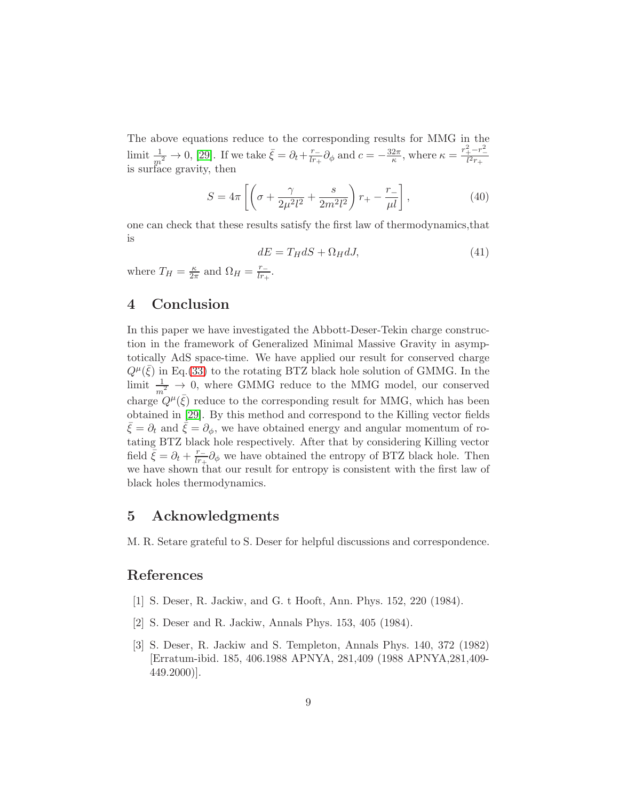The above equations reduce to the corresponding results for MMG in the limit  $\frac{1}{m^2} \to 0$ , [\[29\]](#page-10-7). If we take  $\bar{\xi} = \partial_t + \frac{r_-}{lr_+}$  $\frac{r_-}{l r_+} \partial_\phi$  and  $c = -\frac{32\pi}{\kappa}$ , where  $\kappa = \frac{r_+^2 - r_-^2}{l^2 r_+}$  $l^2r_+$ is surface gravity, then

$$
S = 4\pi \left[ \left( \sigma + \frac{\gamma}{2\mu^2 l^2} + \frac{s}{2m^2 l^2} \right) r_+ - \frac{r_-}{\mu l} \right],
$$
 (40)

one can check that these results satisfy the first law of thermodynamics,that is

$$
dE = T_H dS + \Omega_H dJ,\tag{41}
$$

where  $T_H = \frac{\kappa}{2\pi}$  $\frac{\kappa}{2\pi}$  and  $\Omega_H = \frac{r_-}{lr_+}$  $\frac{r_-}{lr_+}.$ 

# 4 Conclusion

In this paper we have investigated the Abbott-Deser-Tekin charge construction in the framework of Generalized Minimal Massive Gravity in asymptotically AdS space-time. We have applied our result for conserved charge  $Q^{\mu}(\bar{\xi})$  in Eq.[\(33\)](#page-7-0) to the rotating BTZ black hole solution of GMMG. In the limit  $\frac{1}{m^2} \rightarrow 0$ , where GMMG reduce to the MMG model, our conserved charge  $Q^{\mu}(\bar{\xi})$  reduce to the corresponding result for MMG, which has been obtained in [\[29\]](#page-10-7). By this method and correspond to the Killing vector fields  $\xi = \partial_t$  and  $\xi = \partial_\phi$ , we have obtained energy and angular momentum of rotating BTZ black hole respectively. After that by considering Killing vector field  $\bar{\xi} = \partial_t + \frac{r_-}{lr_+}$  $\frac{r_{-}}{kr_{+}}\partial_{\phi}$  we have obtained the entropy of BTZ black hole. Then we have shown that our result for entropy is consistent with the first law of black holes thermodynamics.

### 5 Acknowledgments

M. R. Setare grateful to S. Deser for helpful discussions and correspondence.

#### <span id="page-8-0"></span>References

- <span id="page-8-1"></span>[1] S. Deser, R. Jackiw, and G. t Hooft, Ann. Phys. 152, 220 (1984).
- <span id="page-8-2"></span>[2] S. Deser and R. Jackiw, Annals Phys. 153, 405 (1984).
- [3] S. Deser, R. Jackiw and S. Templeton, Annals Phys. 140, 372 (1982) [Erratum-ibid. 185, 406.1988 APNYA, 281,409 (1988 APNYA,281,409-  $449.2000$ ].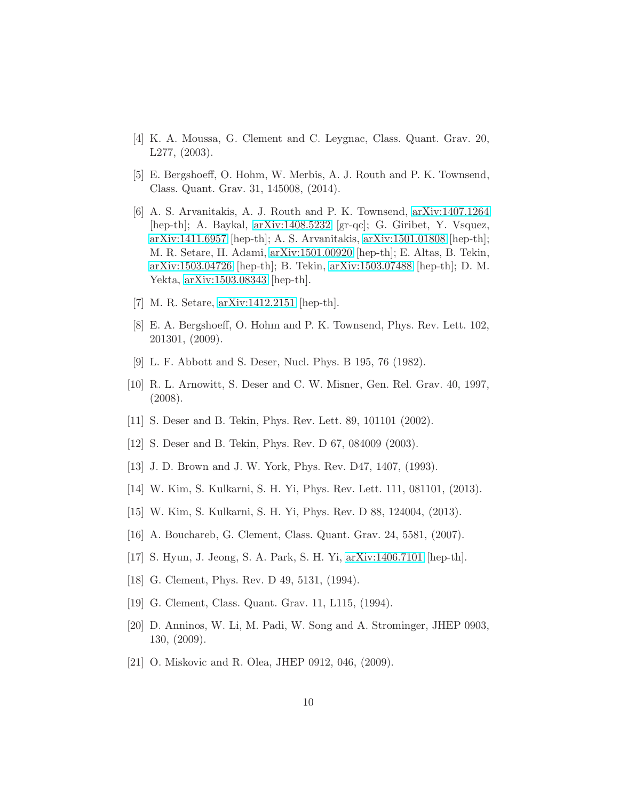- <span id="page-9-1"></span><span id="page-9-0"></span>[4] K. A. Moussa, G. Clement and C. Leygnac, Class. Quant. Grav. 20, L277, (2003).
- <span id="page-9-2"></span>[5] E. Bergshoeff, O. Hohm, W. Merbis, A. J. Routh and P. K. Townsend, Class. Quant. Grav. 31, 145008, (2014).
- [6] A. S. Arvanitakis, A. J. Routh and P. K. Townsend, [arXiv:1407.1264](http://arxiv.org/abs/1407.1264) [hep-th]; A. Baykal, [arXiv:1408.5232](http://arxiv.org/abs/1408.5232) [gr-qc]; G. Giribet, Y. Vsquez, [arXiv:1411.6957](http://arxiv.org/abs/1411.6957) [hep-th]; A. S. Arvanitakis, [arXiv:1501.01808](http://arxiv.org/abs/1501.01808) [hep-th]; M. R. Setare, H. Adami, [arXiv:1501.00920](http://arxiv.org/abs/1501.00920) [hep-th]; E. Altas, B. Tekin, [arXiv:1503.04726](http://arxiv.org/abs/1503.04726) [hep-th]; B. Tekin, [arXiv:1503.07488](http://arxiv.org/abs/1503.07488) [hep-th]; D. M. Yekta, [arXiv:1503.08343](http://arxiv.org/abs/1503.08343) [hep-th].
- <span id="page-9-4"></span><span id="page-9-3"></span>[7] M. R. Setare, [arXiv:1412.2151](http://arxiv.org/abs/1412.2151) [hep-th].
- <span id="page-9-5"></span>[8] E. A. Bergshoeff, O. Hohm and P. K. Townsend, Phys. Rev. Lett. 102, 201301, (2009).
- <span id="page-9-6"></span>[9] L. F. Abbott and S. Deser, Nucl. Phys. B 195, 76 (1982).
- [10] R. L. Arnowitt, S. Deser and C. W. Misner, Gen. Rel. Grav. 40, 1997, (2008).
- <span id="page-9-16"></span><span id="page-9-7"></span>[11] S. Deser and B. Tekin, Phys. Rev. Lett. 89, 101101 (2002).
- <span id="page-9-8"></span>[12] S. Deser and B. Tekin, Phys. Rev. D 67, 084009 (2003).
- <span id="page-9-9"></span>[13] J. D. Brown and J. W. York, Phys. Rev. D47, 1407, (1993).
- <span id="page-9-10"></span>[14] W. Kim, S. Kulkarni, S. H. Yi, Phys. Rev. Lett. 111, 081101, (2013).
- <span id="page-9-11"></span>[15] W. Kim, S. Kulkarni, S. H. Yi, Phys. Rev. D 88, 124004, (2013).
- <span id="page-9-13"></span>[16] A. Bouchareb, G. Clement, Class. Quant. Grav. 24, 5581, (2007).
- <span id="page-9-14"></span>[17] S. Hyun, J. Jeong, S. A. Park, S. H. Yi, [arXiv:1406.7101](http://arxiv.org/abs/1406.7101) [hep-th].
- <span id="page-9-15"></span>[18] G. Clement, Phys. Rev. D 49, 5131, (1994).
- <span id="page-9-12"></span>[19] G. Clement, Class. Quant. Grav. 11, L115, (1994).
- [20] D. Anninos, W. Li, M. Padi, W. Song and A. Strominger, JHEP 0903, 130, (2009).
- [21] O. Miskovic and R. Olea, JHEP 0912, 046, (2009).